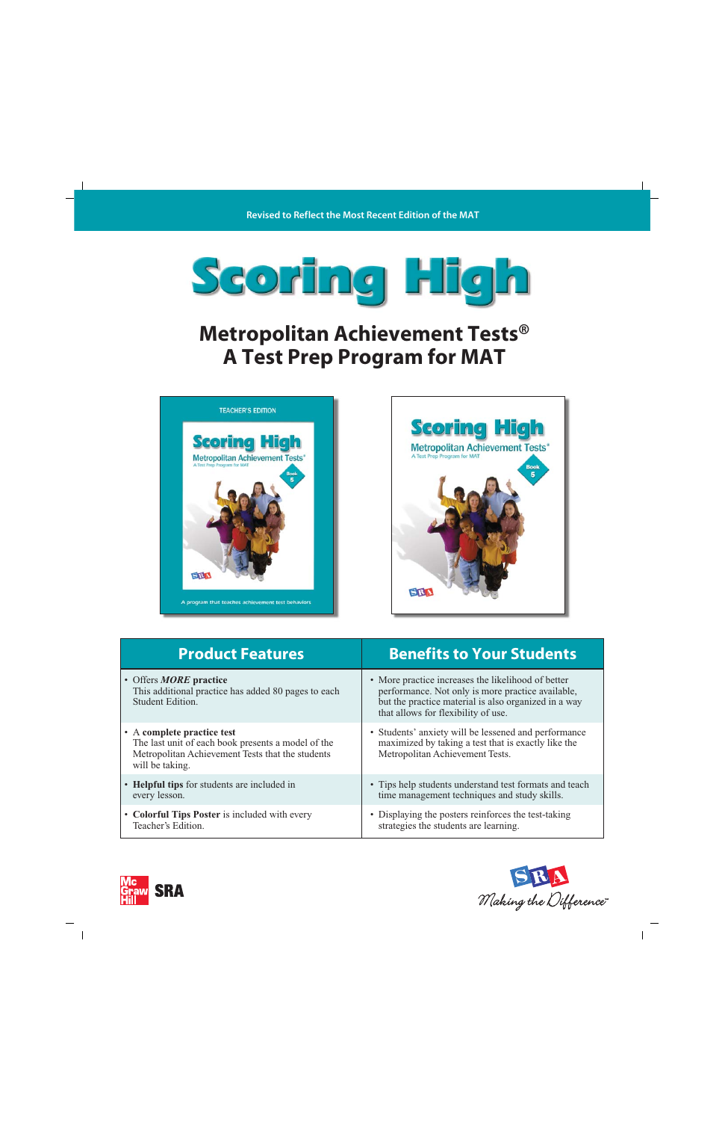

## **Metropolitan Achievement Tests® A Test Prep Program for MAT**





| <b>Product Features</b>                                                                                                                                 | <b>Benefits to Your Students</b>                                                                                                                                                                       |
|---------------------------------------------------------------------------------------------------------------------------------------------------------|--------------------------------------------------------------------------------------------------------------------------------------------------------------------------------------------------------|
| • Offers <b>MORE</b> practice<br>This additional practice has added 80 pages to each<br>Student Edition.                                                | • More practice increases the likelihood of better<br>performance. Not only is more practice available,<br>but the practice material is also organized in a way<br>that allows for flexibility of use. |
| • A complete practice test<br>The last unit of each book presents a model of the<br>Metropolitan Achievement Tests that the students<br>will be taking. | • Students' anxiety will be lessened and performance<br>maximized by taking a test that is exactly like the<br>Metropolitan Achievement Tests.                                                         |
| • Helpful tips for students are included in<br>every lesson.                                                                                            | • Tips help students understand test formats and teach<br>time management techniques and study skills.                                                                                                 |
| • Colorful Tips Poster is included with every<br>Teacher's Edition.                                                                                     | • Displaying the posters reinforces the test-taking<br>strategies the students are learning.                                                                                                           |